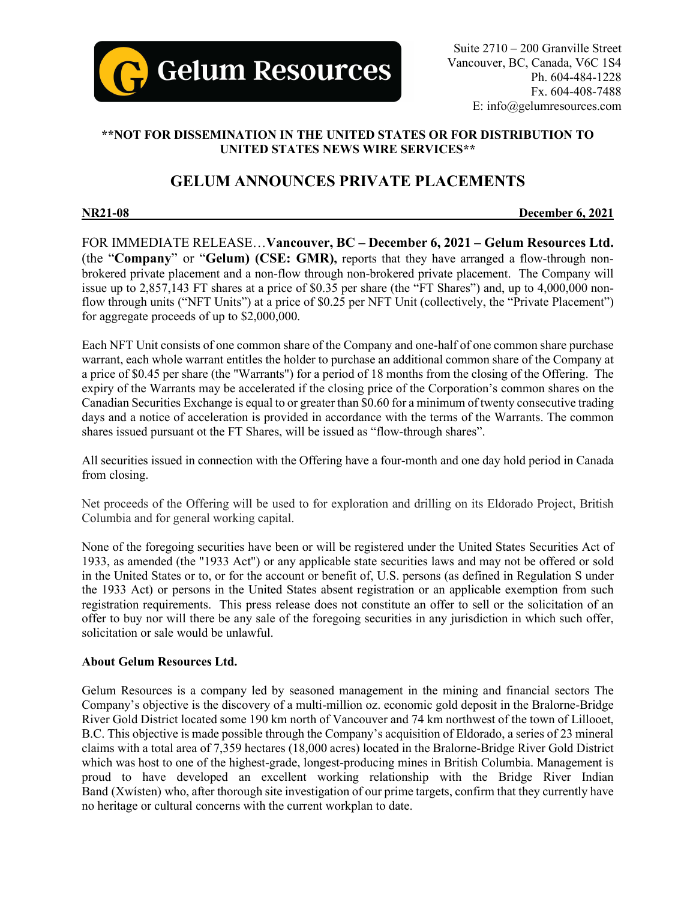

## **\*\*NOT FOR DISSEMINATION IN THE UNITED STATES OR FOR DISTRIBUTION TO UNITED STATES NEWS WIRE SERVICES\*\***

# **GELUM ANNOUNCES PRIVATE PLACEMENTS**

**NR21-08 December 6, 2021**

FOR IMMEDIATE RELEASE…**Vancouver, BC – December 6, 2021 – Gelum Resources Ltd.**  (the "**Company**" or "**Gelum) (CSE: GMR),** reports that they have arranged a flow-through nonbrokered private placement and a non-flow through non-brokered private placement. The Company will issue up to 2,857,143 FT shares at a price of \$0.35 per share (the "FT Shares") and, up to 4,000,000 nonflow through units ("NFT Units") at a price of \$0.25 per NFT Unit (collectively, the "Private Placement") for aggregate proceeds of up to \$2,000,000.

Each NFT Unit consists of one common share of the Company and one-half of one common share purchase warrant, each whole warrant entitles the holder to purchase an additional common share of the Company at a price of \$0.45 per share (the "Warrants") for a period of 18 months from the closing of the Offering. The expiry of the Warrants may be accelerated if the closing price of the Corporation's common shares on the Canadian Securities Exchange is equal to or greater than \$0.60 for a minimum of twenty consecutive trading days and a notice of acceleration is provided in accordance with the terms of the Warrants. The common shares issued pursuant ot the FT Shares, will be issued as "flow-through shares".

All securities issued in connection with the Offering have a four-month and one day hold period in Canada from closing.

Net proceeds of the Offering will be used to for exploration and drilling on its Eldorado Project, British Columbia and for general working capital.

None of the foregoing securities have been or will be registered under the United States Securities Act of 1933, as amended (the "1933 Act") or any applicable state securities laws and may not be offered or sold in the United States or to, or for the account or benefit of, U.S. persons (as defined in Regulation S under the 1933 Act) or persons in the United States absent registration or an applicable exemption from such registration requirements. This press release does not constitute an offer to sell or the solicitation of an offer to buy nor will there be any sale of the foregoing securities in any jurisdiction in which such offer, solicitation or sale would be unlawful.

#### **About Gelum Resources Ltd.**

Gelum Resources is a company led by seasoned management in the mining and financial sectors The Company's objective is the discovery of a multi-million oz. economic gold deposit in the Bralorne-Bridge River Gold District located some 190 km north of Vancouver and 74 km northwest of the town of Lillooet, B.C. This objective is made possible through the Company's acquisition of Eldorado, a series of 23 mineral claims with a total area of 7,359 hectares (18,000 acres) located in the Bralorne-Bridge River Gold District which was host to one of the highest-grade, longest-producing mines in British Columbia. Management is proud to have developed an excellent working relationship with the Bridge River Indian Band (Xwísten) who, after thorough site investigation of our prime targets, confirm that they currently have no heritage or cultural concerns with the current workplan to date.